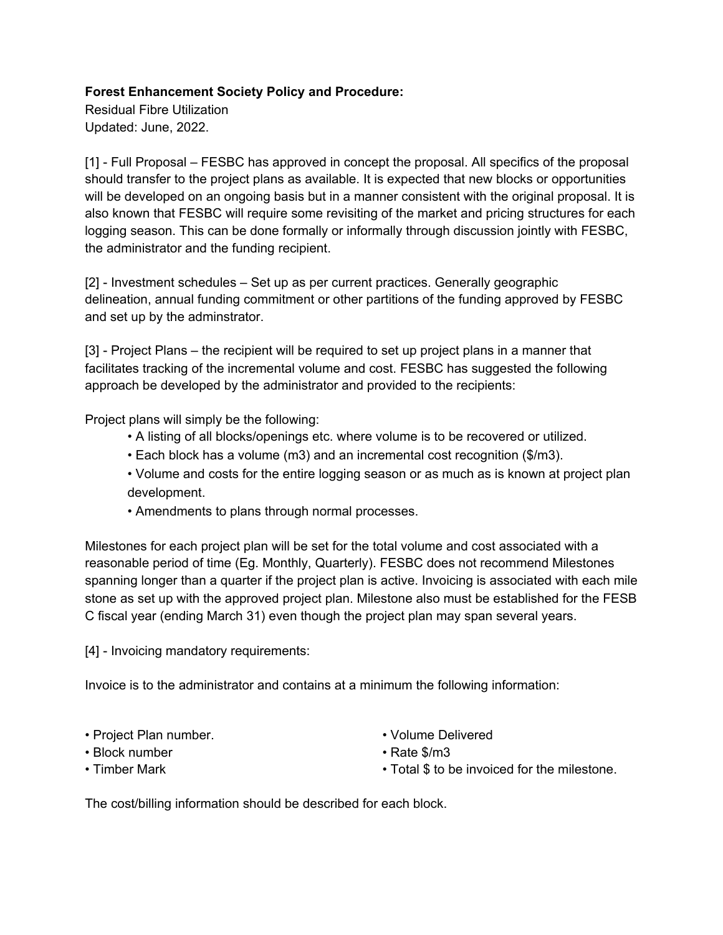## **Forest Enhancement Society Policy and Procedure:**

Residual Fibre Utilization Updated: June, 2022.

[1] - Full Proposal – FESBC has approved in concept the proposal. All specifics of the proposal should transfer to the project plans as available. It is expected that new blocks or opportunities will be developed on an ongoing basis but in a manner consistent with the original proposal. It is also known that FESBC will require some revisiting of the market and pricing structures for each logging season. This can be done formally or informally through discussion jointly with FESBC, the administrator and the funding recipient.

[2] - Investment schedules – Set up as per current practices. Generally geographic delineation, annual funding commitment or other partitions of the funding approved by FESBC and set up by the adminstrator.

[3] - Project Plans – the recipient will be required to set up project plans in a manner that facilitates tracking of the incremental volume and cost. FESBC has suggested the following approach be developed by the administrator and provided to the recipients:

Project plans will simply be the following:

- A listing of all blocks/openings etc. where volume is to be recovered or utilized.
- Each block has a volume (m3) and an incremental cost recognition (\$/m3).
- Volume and costs for the entire logging season or as much as is known at project plan development.
- Amendments to plans through normal processes.

Milestones for each project plan will be set for the total volume and cost associated with a reasonable period of time (Eg. Monthly, Quarterly). FESBC does not recommend Milestones spanning longer than a quarter if the project plan is active. Invoicing is associated with each mile stone as set up with the approved project plan. Milestone also must be established for the FESB C fiscal year (ending March 31) even though the project plan may span several years.

[4] - Invoicing mandatory requirements:

Invoice is to the administrator and contains at a minimum the following information:

- Project Plan number.
- Block number
- Timber Mark
- Volume Delivered
- Rate \$/m3
- Total \$ to be invoiced for the milestone.

The cost/billing information should be described for each block.